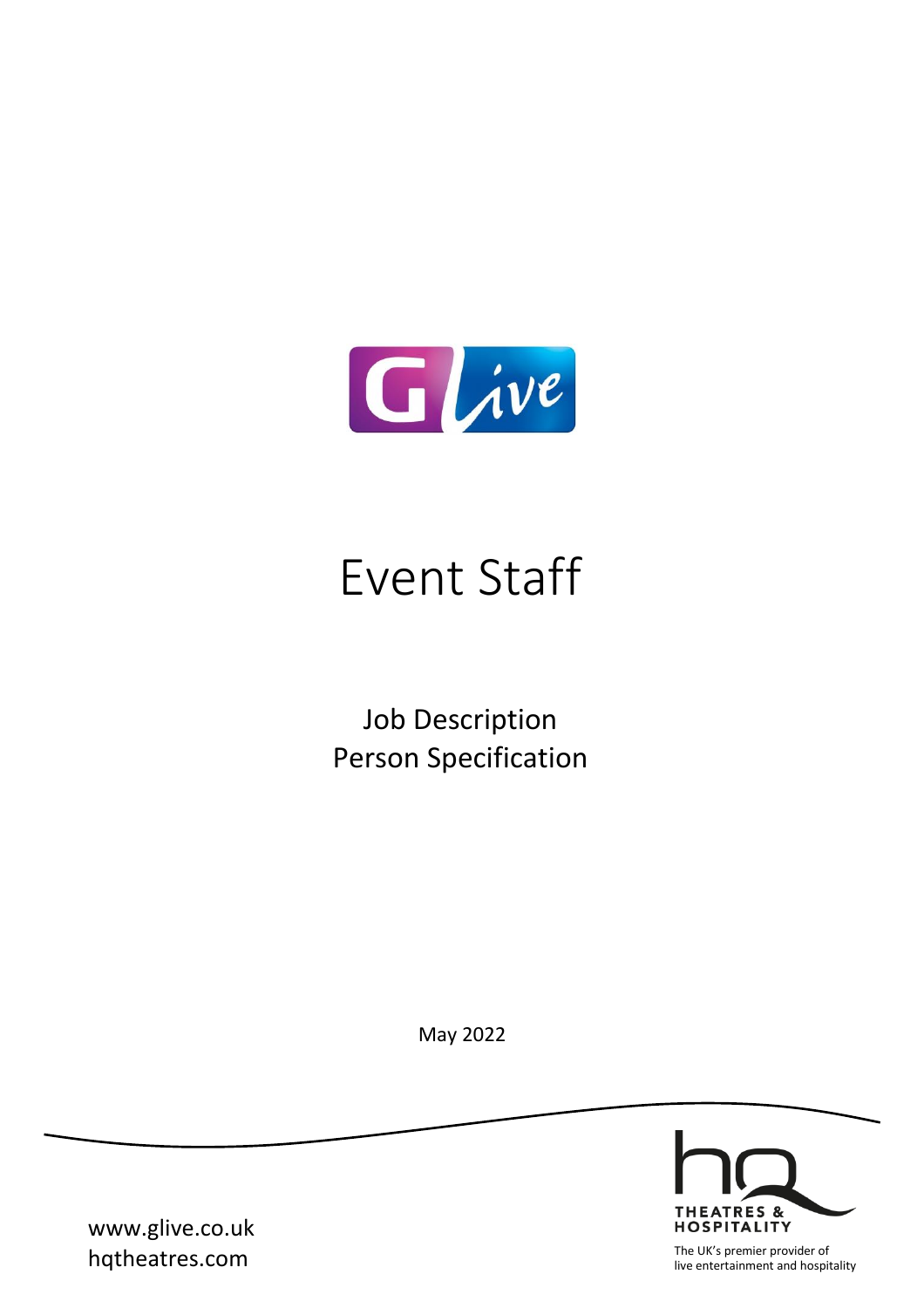

# Event Staff

Job Description Person Specification

May 2022



www.glive.co.uk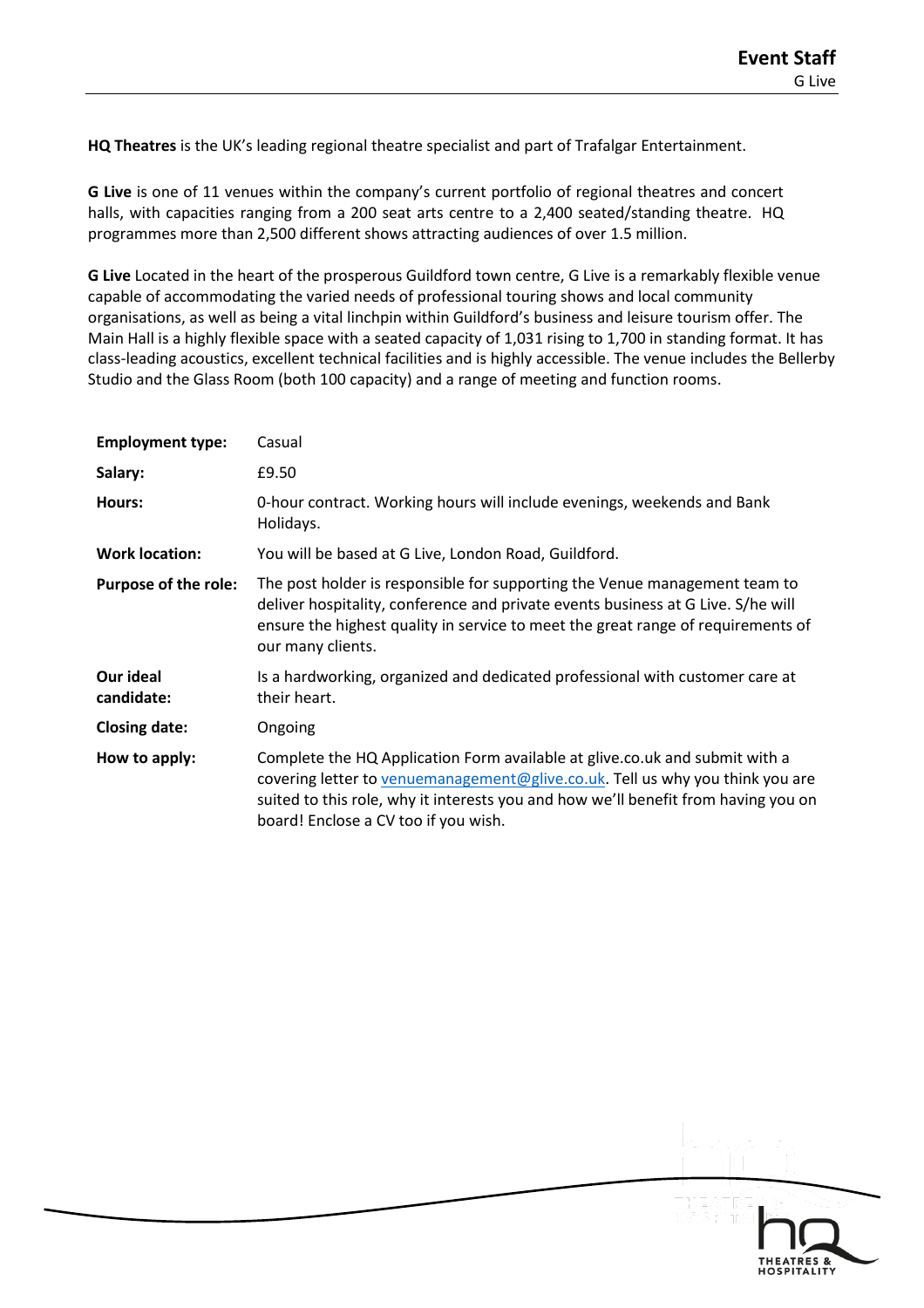**HQ Theatres** is the UK's leading regional theatre specialist and part of Trafalgar Entertainment.

**G Live** is one of 11 venues within the company's current portfolio of regional theatres and concert halls, with capacities ranging from a 200 seat arts centre to a 2,400 seated/standing theatre. HQ programmes more than 2,500 different shows attracting audiences of over 1.5 million.

**G Live** Located in the heart of the prosperous Guildford town centre, G Live is a remarkably flexible venue capable of accommodating the varied needs of professional touring shows and local community organisations, as well as being a vital linchpin within Guildford's business and leisure tourism offer. The Main Hall is a highly flexible space with a seated capacity of 1,031 rising to 1,700 in standing format. It has class-leading acoustics, excellent technical facilities and is highly accessible. The venue includes the Bellerby Studio and the Glass Room (both 100 capacity) and a range of meeting and function rooms.

| <b>Employment type:</b>     | Casual                                                                                                                                                                                                                                                                                     |
|-----------------------------|--------------------------------------------------------------------------------------------------------------------------------------------------------------------------------------------------------------------------------------------------------------------------------------------|
| Salary:                     | £9.50                                                                                                                                                                                                                                                                                      |
| Hours:                      | 0-hour contract. Working hours will include evenings, weekends and Bank<br>Holidays.                                                                                                                                                                                                       |
| <b>Work location:</b>       | You will be based at G Live, London Road, Guildford.                                                                                                                                                                                                                                       |
| <b>Purpose of the role:</b> | The post holder is responsible for supporting the Venue management team to<br>deliver hospitality, conference and private events business at G Live. S/he will<br>ensure the highest quality in service to meet the great range of requirements of<br>our many clients.                    |
| Our ideal<br>candidate:     | Is a hardworking, organized and dedicated professional with customer care at<br>their heart.                                                                                                                                                                                               |
| <b>Closing date:</b>        | Ongoing                                                                                                                                                                                                                                                                                    |
| How to apply:               | Complete the HQ Application Form available at glive.co.uk and submit with a<br>covering letter to venuemanagement@glive.co.uk. Tell us why you think you are<br>suited to this role, why it interests you and how we'll benefit from having you on<br>board! Enclose a CV too if you wish. |

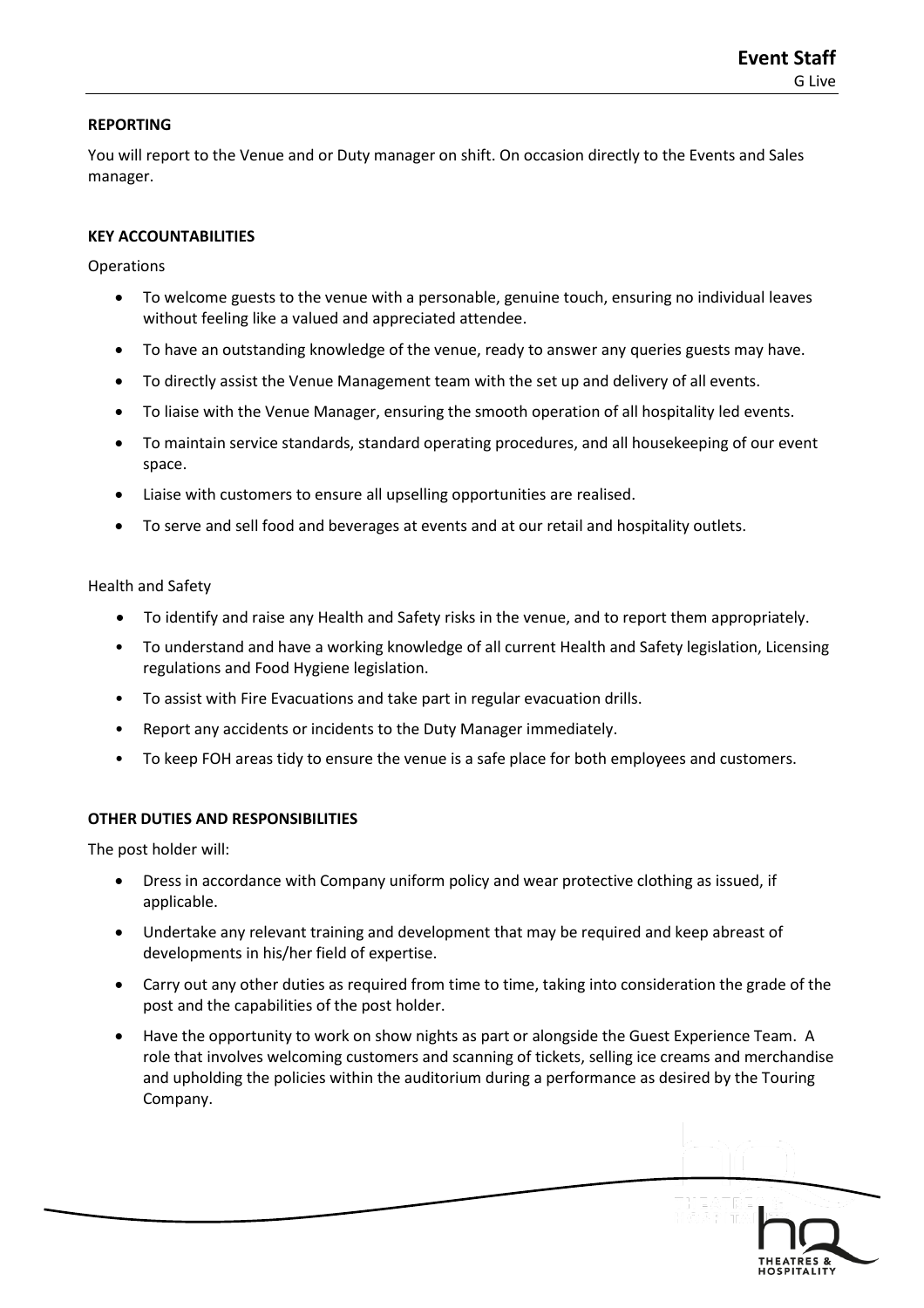## **REPORTING**

You will report to the Venue and or Duty manager on shift. On occasion directly to the Events and Sales manager.

## **KEY ACCOUNTABILITIES**

**Operations** 

- To welcome guests to the venue with a personable, genuine touch, ensuring no individual leaves without feeling like a valued and appreciated attendee.
- To have an outstanding knowledge of the venue, ready to answer any queries guests may have.
- To directly assist the Venue Management team with the set up and delivery of all events.
- To liaise with the Venue Manager, ensuring the smooth operation of all hospitality led events.
- To maintain service standards, standard operating procedures, and all housekeeping of our event space.
- Liaise with customers to ensure all upselling opportunities are realised.
- To serve and sell food and beverages at events and at our retail and hospitality outlets.

Health and Safety

- To identify and raise any Health and Safety risks in the venue, and to report them appropriately.
- To understand and have a working knowledge of all current Health and Safety legislation, Licensing regulations and Food Hygiene legislation.
- To assist with Fire Evacuations and take part in regular evacuation drills.
- Report any accidents or incidents to the Duty Manager immediately.
- To keep FOH areas tidy to ensure the venue is a safe place for both employees and customers.

## **OTHER DUTIES AND RESPONSIBILITIES**

The post holder will:

- Dress in accordance with Company uniform policy and wear protective clothing as issued, if applicable.
- Undertake any relevant training and development that may be required and keep abreast of developments in his/her field of expertise.
- Carry out any other duties as required from time to time, taking into consideration the grade of the post and the capabilities of the post holder.
- Have the opportunity to work on show nights as part or alongside the Guest Experience Team. A role that involves welcoming customers and scanning of tickets, selling ice creams and merchandise and upholding the policies within the auditorium during a performance as desired by the Touring Company.